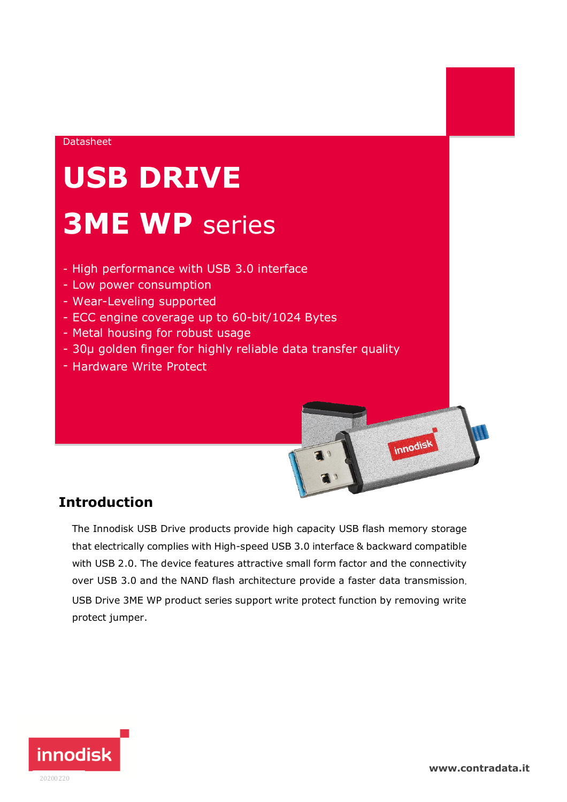#### Datasheet

# **USB DRIVE 3ME WP** series

- High performance with USB 3.0 interface
- Low power consumption
- Wear-Leveling supported
- ECC engine coverage up to 60-bit/1024 Bytes
- Metal housing for robust usage
- 30μ golden finger for highly reliable data transfer quality
- Hardware Write Protect

### **Introduction**

The Innodisk USB Drive products provide high capacity USB flash memory storage that electrically complies with High-speed USB 3.0 interface & backward compatible with USB 2.0. The device features attractive small form factor and the connectivity over USB 3.0 and the NAND flash architecture provide a faster data transmission. USB Drive 3ME WP product series support write protect function by removing write protect jumper.



innodisk